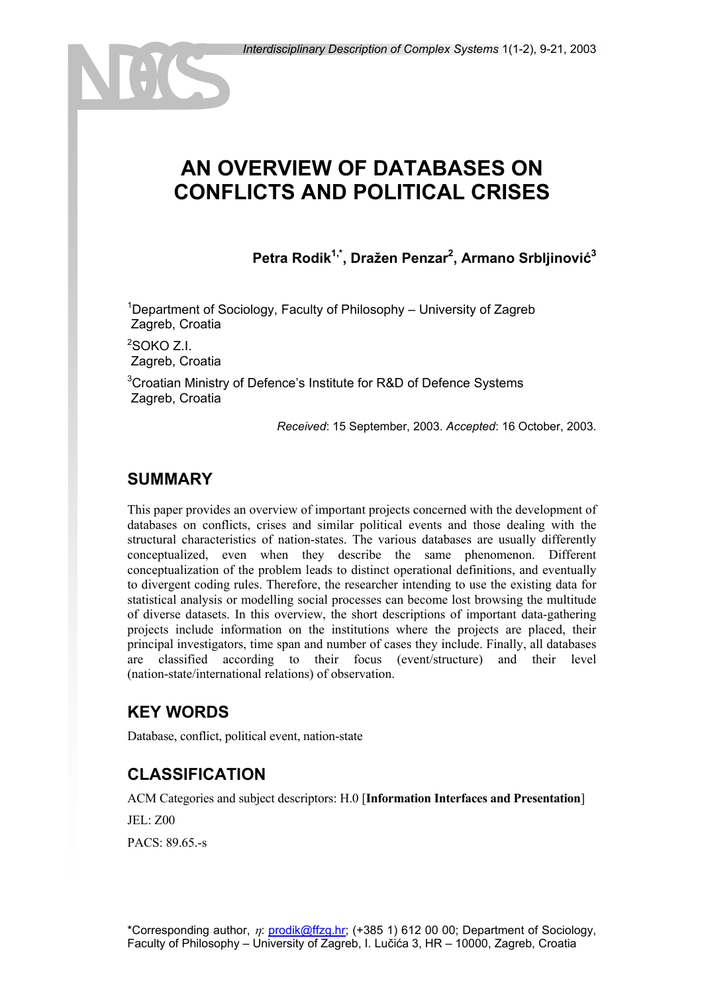# **AN OVERVIEW OF DATABASES ON CONFLICTS AND POLITICAL CRISES**

**Petra Rodik1,\*, Dražen Penzar2 , Armano Srbljinović<sup>3</sup>**

<sup>1</sup>Department of Sociology, Faculty of Philosophy – University of Zagreb Zagreb, Croatia

 $2$ SOKO Z.I. Zagreb, Croatia

<sup>3</sup>Croatian Ministry of Defence's Institute for R&D of Defence Systems Zagreb, Croatia

*Received*: 15 September, 2003. *Accepted*: 16 October, 2003.

## **SUMMARY**

This paper provides an overview of important projects concerned with the development of databases on conflicts, crises and similar political events and those dealing with the structural characteristics of nation-states. The various databases are usually differently conceptualized, even when they describe the same phenomenon. Different conceptualization of the problem leads to distinct operational definitions, and eventually to divergent coding rules. Therefore, the researcher intending to use the existing data for statistical analysis or modelling social processes can become lost browsing the multitude of diverse datasets. In this overview, the short descriptions of important data-gathering projects include information on the institutions where the projects are placed, their principal investigators, time span and number of cases they include. Finally, all databases are classified according to their focus (event/structure) and their level (nation-state/international relations) of observation.

## **KEY WORDS**

Database, conflict, political event, nation-state

## **CLASSIFICATION**

ACM Categories and subject descriptors: H.0 [**Information Interfaces and Presentation**]

JEL: Z00

PACS: 89.65.-s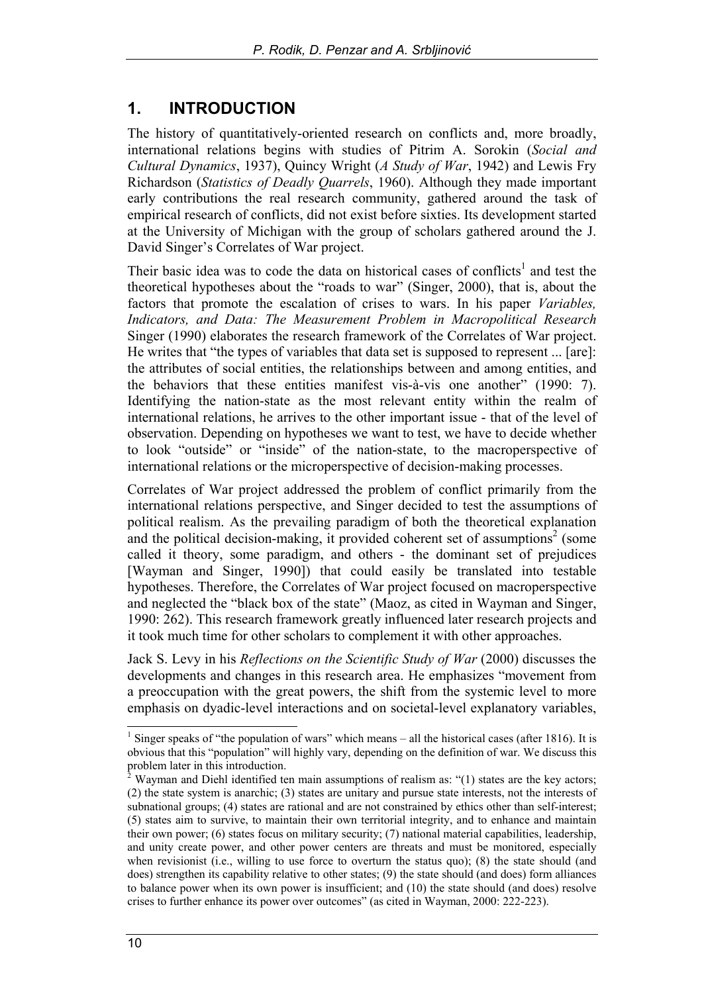## **1. INTRODUCTION**

The history of quantitatively-oriented research on conflicts and, more broadly, international relations begins with studies of Pitrim A. Sorokin (*Social and Cultural Dynamics*, 1937), Quincy Wright (*A Study of War*, 1942) and Lewis Fry Richardson (*Statistics of Deadly Quarrels*, 1960). Although they made important early contributions the real research community, gathered around the task of empirical research of conflicts, did not exist before sixties. Its development started at the University of Michigan with the group of scholars gathered around the J. David Singer's Correlates of War project.

Their basic idea was to code the data on historical cases of conflicts<sup>1</sup> and test the theoretical hypotheses about the "roads to war" (Singer, 2000), that is, about the factors that promote the escalation of crises to wars. In his paper *Variables, Indicators, and Data: The Measurement Problem in Macropolitical Research* Singer (1990) elaborates the research framework of the Correlates of War project. He writes that "the types of variables that data set is supposed to represent ... [are]: the attributes of social entities, the relationships between and among entities, and the behaviors that these entities manifest vis-à-vis one another" (1990: 7). Identifying the nation-state as the most relevant entity within the realm of international relations, he arrives to the other important issue - that of the level of observation. Depending on hypotheses we want to test, we have to decide whether to look "outside" or "inside" of the nation-state, to the macroperspective of international relations or the microperspective of decision-making processes.

Correlates of War project addressed the problem of conflict primarily from the international relations perspective, and Singer decided to test the assumptions of political realism. As the prevailing paradigm of both the theoretical explanation and the political decision-making, it provided coherent set of assumptions<sup>2</sup> (some called it theory, some paradigm, and others - the dominant set of prejudices [Wayman and Singer, 1990]) that could easily be translated into testable hypotheses. Therefore, the Correlates of War project focused on macroperspective and neglected the "black box of the state" (Maoz, as cited in Wayman and Singer, 1990: 262). This research framework greatly influenced later research projects and it took much time for other scholars to complement it with other approaches.

Jack S. Levy in his *Reflections on the Scientific Study of War* (2000) discusses the developments and changes in this research area. He emphasizes "movement from a preoccupation with the great powers, the shift from the systemic level to more emphasis on dyadic-level interactions and on societal-level explanatory variables,

 $\overline{\phantom{a}}$ 

<sup>&</sup>lt;sup>1</sup> Singer speaks of "the population of wars" which means – all the historical cases (after 1816). It is obvious that this "population" will highly vary, depending on the definition of war. We discuss this problem later in this introduction.

 $\overline{2}$ Wayman and Diehl identified ten main assumptions of realism as: "(1) states are the key actors; (2) the state system is anarchic; (3) states are unitary and pursue state interests, not the interests of subnational groups; (4) states are rational and are not constrained by ethics other than self-interest; (5) states aim to survive, to maintain their own territorial integrity, and to enhance and maintain their own power; (6) states focus on military security; (7) national material capabilities, leadership, and unity create power, and other power centers are threats and must be monitored, especially when revisionist (i.e., willing to use force to overturn the status quo); (8) the state should (and does) strengthen its capability relative to other states; (9) the state should (and does) form alliances to balance power when its own power is insufficient; and (10) the state should (and does) resolve crises to further enhance its power over outcomes" (as cited in Wayman, 2000: 222-223).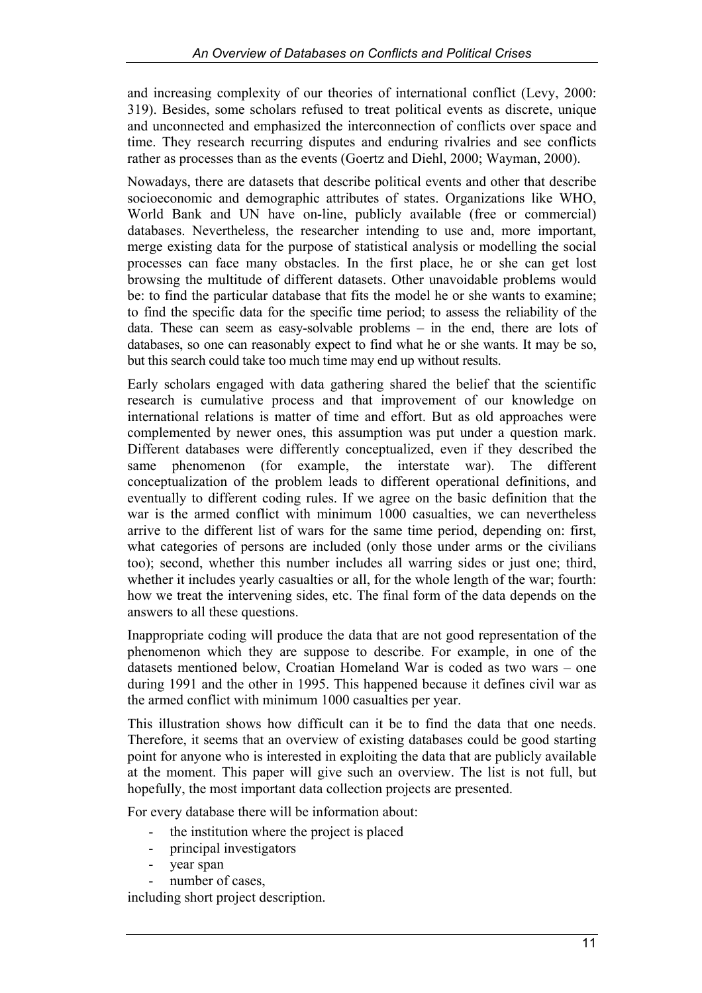and increasing complexity of our theories of international conflict (Levy, 2000: 319). Besides, some scholars refused to treat political events as discrete, unique and unconnected and emphasized the interconnection of conflicts over space and time. They research recurring disputes and enduring rivalries and see conflicts rather as processes than as the events (Goertz and Diehl, 2000; Wayman, 2000).

Nowadays, there are datasets that describe political events and other that describe socioeconomic and demographic attributes of states. Organizations like WHO, World Bank and UN have on-line, publicly available (free or commercial) databases. Nevertheless, the researcher intending to use and, more important, merge existing data for the purpose of statistical analysis or modelling the social processes can face many obstacles. In the first place, he or she can get lost browsing the multitude of different datasets. Other unavoidable problems would be: to find the particular database that fits the model he or she wants to examine; to find the specific data for the specific time period; to assess the reliability of the data. These can seem as easy-solvable problems – in the end, there are lots of databases, so one can reasonably expect to find what he or she wants. It may be so, but this search could take too much time may end up without results.

Early scholars engaged with data gathering shared the belief that the scientific research is cumulative process and that improvement of our knowledge on international relations is matter of time and effort. But as old approaches were complemented by newer ones, this assumption was put under a question mark. Different databases were differently conceptualized, even if they described the same phenomenon (for example, the interstate war). The different conceptualization of the problem leads to different operational definitions, and eventually to different coding rules. If we agree on the basic definition that the war is the armed conflict with minimum 1000 casualties, we can nevertheless arrive to the different list of wars for the same time period, depending on: first, what categories of persons are included (only those under arms or the civilians too); second, whether this number includes all warring sides or just one; third, whether it includes yearly casualties or all, for the whole length of the war; fourth: how we treat the intervening sides, etc. The final form of the data depends on the answers to all these questions.

Inappropriate coding will produce the data that are not good representation of the phenomenon which they are suppose to describe. For example, in one of the datasets mentioned below, Croatian Homeland War is coded as two wars – one during 1991 and the other in 1995. This happened because it defines civil war as the armed conflict with minimum 1000 casualties per year.

This illustration shows how difficult can it be to find the data that one needs. Therefore, it seems that an overview of existing databases could be good starting point for anyone who is interested in exploiting the data that are publicly available at the moment. This paper will give such an overview. The list is not full, but hopefully, the most important data collection projects are presented.

For every database there will be information about:

- the institution where the project is placed
- principal investigators
- year span
- number of cases.

including short project description.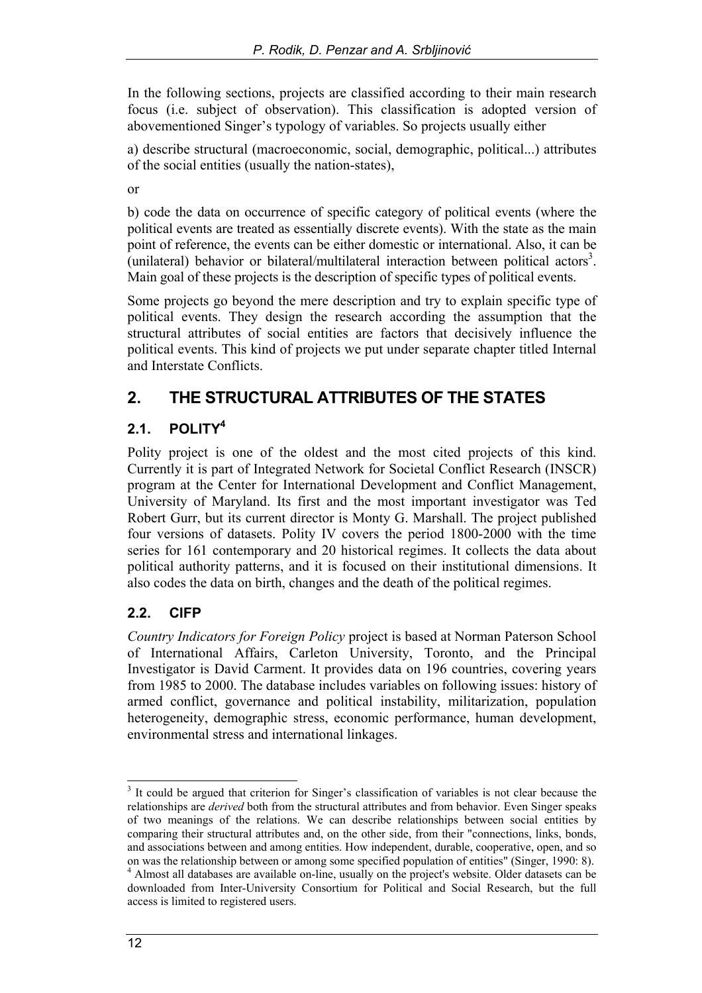In the following sections, projects are classified according to their main research focus (i.e. subject of observation). This classification is adopted version of abovementioned Singer's typology of variables. So projects usually either

a) describe structural (macroeconomic, social, demographic, political...) attributes of the social entities (usually the nation-states),

or

b) code the data on occurrence of specific category of political events (where the political events are treated as essentially discrete events). With the state as the main point of reference, the events can be either domestic or international. Also, it can be (unilateral) behavior or bilateral/multilateral interaction between political actors<sup>3</sup>. Main goal of these projects is the description of specific types of political events.

Some projects go beyond the mere description and try to explain specific type of political events. They design the research according the assumption that the structural attributes of social entities are factors that decisively influence the political events. This kind of projects we put under separate chapter titled Internal and Interstate Conflicts.

## **2. THE STRUCTURAL ATTRIBUTES OF THE STATES**

#### **2.1. POLITY4**

Polity project is one of the oldest and the most cited projects of this kind. Currently it is part of Integrated Network for Societal Conflict Research (INSCR) program at the Center for International Development and Conflict Management, University of Maryland. Its first and the most important investigator was Ted Robert Gurr, but its current director is Monty G. Marshall. The project published four versions of datasets. Polity IV covers the period 1800-2000 with the time series for 161 contemporary and 20 historical regimes. It collects the data about political authority patterns, and it is focused on their institutional dimensions. It also codes the data on birth, changes and the death of the political regimes.

## **2.2. CIFP**

*Country Indicators for Foreign Policy* project is based at Norman Paterson School of International Affairs, Carleton University, Toronto, and the Principal Investigator is David Carment. It provides data on 196 countries, covering years from 1985 to 2000. The database includes variables on following issues: history of armed conflict, governance and political instability, militarization, population heterogeneity, demographic stress, economic performance, human development, environmental stress and international linkages.

 $\overline{a}$ <sup>3</sup> It could be argued that criterion for Singer's classification of variables is not clear because the relationships are *derived* both from the structural attributes and from behavior. Even Singer speaks of two meanings of the relations. We can describe relationships between social entities by comparing their structural attributes and, on the other side, from their "connections, links, bonds, and associations between and among entities. How independent, durable, cooperative, open, and so on was the relationship between or among some specified population of entities" (Singer, 1990: 8). 4

<sup>&</sup>lt;sup>4</sup> Almost all databases are available on-line, usually on the project's website. Older datasets can be downloaded from Inter-University Consortium for Political and Social Research, but the full access is limited to registered users.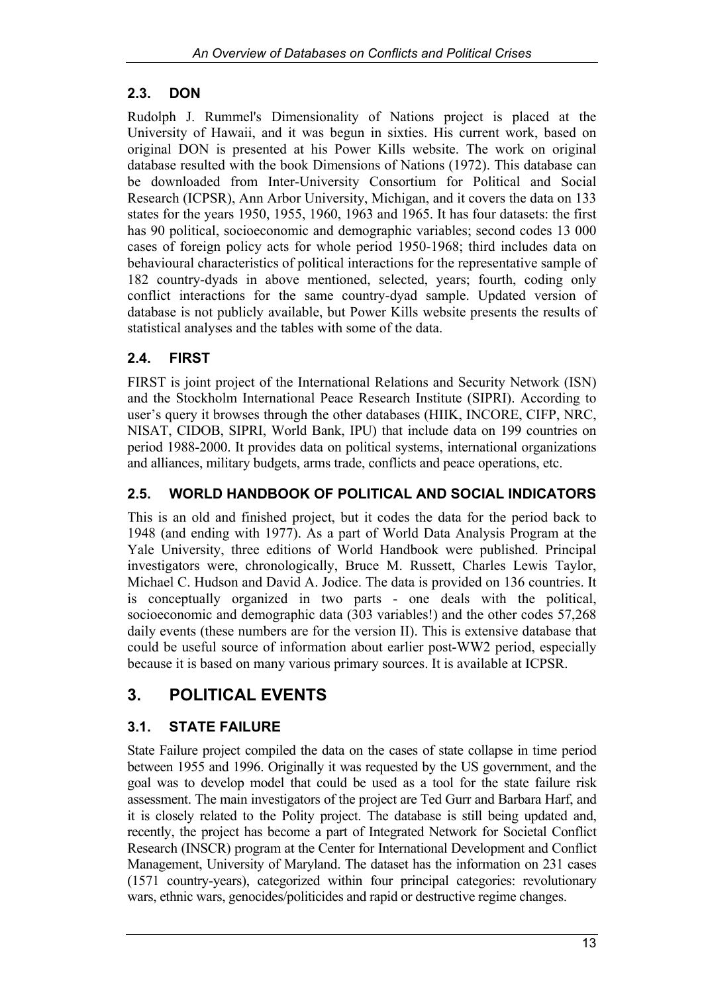#### **2.3. DON**

Rudolph J. Rummel's Dimensionality of Nations project is placed at the University of Hawaii, and it was begun in sixties. His current work, based on original DON is presented at his Power Kills website. The work on original database resulted with the book Dimensions of Nations (1972). This database can be downloaded from Inter-University Consortium for Political and Social Research (ICPSR), Ann Arbor University, Michigan, and it covers the data on 133 states for the years 1950, 1955, 1960, 1963 and 1965. It has four datasets: the first has 90 political, socioeconomic and demographic variables; second codes 13 000 cases of foreign policy acts for whole period 1950-1968; third includes data on behavioural characteristics of political interactions for the representative sample of 182 country-dyads in above mentioned, selected, years; fourth, coding only conflict interactions for the same country-dyad sample. Updated version of database is not publicly available, but Power Kills website presents the results of statistical analyses and the tables with some of the data.

#### **2.4. FIRST**

FIRST is joint project of the International Relations and Security Network (ISN) and the Stockholm International Peace Research Institute (SIPRI). According to user's query it browses through the other databases (HIIK, INCORE, CIFP, NRC, NISAT, CIDOB, SIPRI, World Bank, IPU) that include data on 199 countries on period 1988-2000. It provides data on political systems, international organizations and alliances, military budgets, arms trade, conflicts and peace operations, etc.

#### **2.5. WORLD HANDBOOK OF POLITICAL AND SOCIAL INDICATORS**

This is an old and finished project, but it codes the data for the period back to 1948 (and ending with 1977). As a part of World Data Analysis Program at the Yale University, three editions of World Handbook were published. Principal investigators were, chronologically, Bruce M. Russett, Charles Lewis Taylor, Michael C. Hudson and David A. Jodice. The data is provided on 136 countries. It is conceptually organized in two parts - one deals with the political, socioeconomic and demographic data (303 variables!) and the other codes 57,268 daily events (these numbers are for the version II). This is extensive database that could be useful source of information about earlier post-WW2 period, especially because it is based on many various primary sources. It is available at ICPSR.

## **3. POLITICAL EVENTS**

## **3.1. STATE FAILURE**

State Failure project compiled the data on the cases of state collapse in time period between 1955 and 1996. Originally it was requested by the US government, and the goal was to develop model that could be used as a tool for the state failure risk assessment. The main investigators of the project are Ted Gurr and Barbara Harf, and it is closely related to the Polity project. The database is still being updated and, recently, the project has become a part of Integrated Network for Societal Conflict Research (INSCR) program at the Center for International Development and Conflict Management, University of Maryland. The dataset has the information on 231 cases (1571 country-years), categorized within four principal categories: revolutionary wars, ethnic wars, genocides/politicides and rapid or destructive regime changes.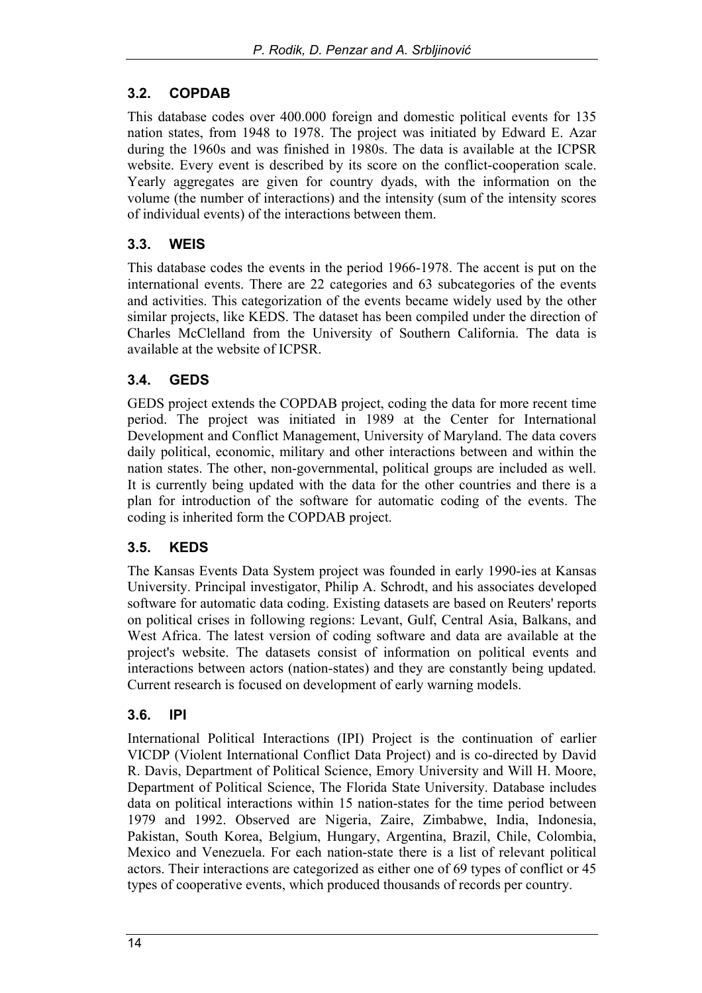#### **3.2. COPDAB**

This database codes over 400.000 foreign and domestic political events for 135 nation states, from 1948 to 1978. The project was initiated by Edward E. Azar during the 1960s and was finished in 1980s. The data is available at the ICPSR website. Every event is described by its score on the conflict-cooperation scale. Yearly aggregates are given for country dyads, with the information on the volume (the number of interactions) and the intensity (sum of the intensity scores of individual events) of the interactions between them.

#### **3.3. WEIS**

This database codes the events in the period 1966-1978. The accent is put on the international events. There are 22 categories and 63 subcategories of the events and activities. This categorization of the events became widely used by the other similar projects, like KEDS. The dataset has been compiled under the direction of Charles McClelland from the University of Southern California. The data is available at the website of ICPSR.

#### **3.4. GEDS**

GEDS project extends the COPDAB project, coding the data for more recent time period. The project was initiated in 1989 at the Center for International Development and Conflict Management, University of Maryland. The data covers daily political, economic, military and other interactions between and within the nation states. The other, non-governmental, political groups are included as well. It is currently being updated with the data for the other countries and there is a plan for introduction of the software for automatic coding of the events. The coding is inherited form the COPDAB project.

#### **3.5. KEDS**

The Kansas Events Data System project was founded in early 1990-ies at Kansas University. Principal investigator, Philip A. Schrodt, and his associates developed software for automatic data coding. Existing datasets are based on Reuters' reports on political crises in following regions: Levant, Gulf, Central Asia, Balkans, and West Africa. The latest version of coding software and data are available at the project's website. The datasets consist of information on political events and interactions between actors (nation-states) and they are constantly being updated. Current research is focused on development of early warning models.

#### **3.6. IPI**

International Political Interactions (IPI) Project is the continuation of earlier VICDP (Violent International Conflict Data Project) and is co-directed by David R. Davis, Department of Political Science, Emory University and Will H. Moore, Department of Political Science, The Florida State University. Database includes data on political interactions within 15 nation-states for the time period between 1979 and 1992. Observed are Nigeria, Zaire, Zimbabwe, India, Indonesia, Pakistan, South Korea, Belgium, Hungary, Argentina, Brazil, Chile, Colombia, Mexico and Venezuela. For each nation-state there is a list of relevant political actors. Their interactions are categorized as either one of 69 types of conflict or 45 types of cooperative events, which produced thousands of records per country.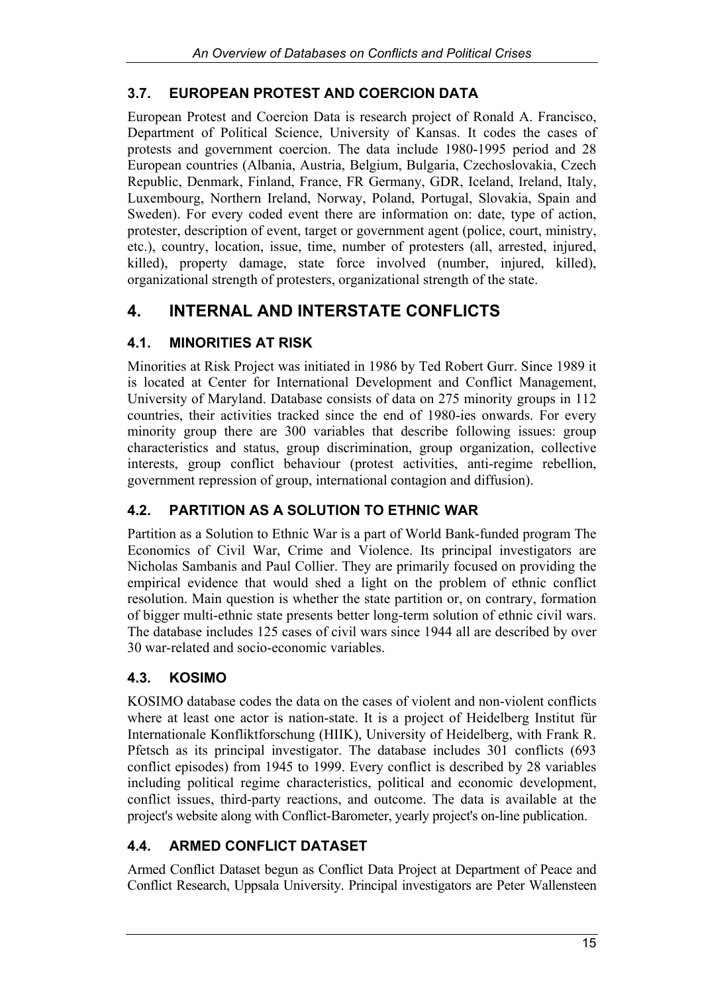#### **3.7. EUROPEAN PROTEST AND COERCION DATA**

European Protest and Coercion Data is research project of Ronald A. Francisco, Department of Political Science, University of Kansas. It codes the cases of protests and government coercion. The data include 1980-1995 period and 28 European countries (Albania, Austria, Belgium, Bulgaria, Czechoslovakia, Czech Republic, Denmark, Finland, France, FR Germany, GDR, Iceland, Ireland, Italy, Luxembourg, Northern Ireland, Norway, Poland, Portugal, Slovakia, Spain and Sweden). For every coded event there are information on: date, type of action, protester, description of event, target or government agent (police, court, ministry, etc.), country, location, issue, time, number of protesters (all, arrested, injured, killed), property damage, state force involved (number, injured, killed), organizational strength of protesters, organizational strength of the state.

## **4. INTERNAL AND INTERSTATE CONFLICTS**

#### **4.1. MINORITIES AT RISK**

Minorities at Risk Project was initiated in 1986 by Ted Robert Gurr. Since 1989 it is located at Center for International Development and Conflict Management, University of Maryland. Database consists of data on 275 minority groups in 112 countries, their activities tracked since the end of 1980-ies onwards. For every minority group there are 300 variables that describe following issues: group characteristics and status, group discrimination, group organization, collective interests, group conflict behaviour (protest activities, anti-regime rebellion, government repression of group, international contagion and diffusion).

#### **4.2. PARTITION AS A SOLUTION TO ETHNIC WAR**

Partition as a Solution to Ethnic War is a part of World Bank-funded program The Economics of Civil War, Crime and Violence. Its principal investigators are Nicholas Sambanis and Paul Collier. They are primarily focused on providing the empirical evidence that would shed a light on the problem of ethnic conflict resolution. Main question is whether the state partition or, on contrary, formation of bigger multi-ethnic state presents better long-term solution of ethnic civil wars. The database includes 125 cases of civil wars since 1944 all are described by over 30 war-related and socio-economic variables.

#### **4.3. KOSIMO**

KOSIMO database codes the data on the cases of violent and non-violent conflicts where at least one actor is nation-state. It is a project of Heidelberg Institut für Internationale Konfliktforschung (HIIK), University of Heidelberg, with Frank R. Pfetsch as its principal investigator. The database includes 301 conflicts (693 conflict episodes) from 1945 to 1999. Every conflict is described by 28 variables including political regime characteristics, political and economic development, conflict issues, third-party reactions, and outcome. The data is available at the project's website along with Conflict-Barometer, yearly project's on-line publication.

#### **4.4. ARMED CONFLICT DATASET**

Armed Conflict Dataset begun as Conflict Data Project at Department of Peace and Conflict Research, Uppsala University. Principal investigators are Peter Wallensteen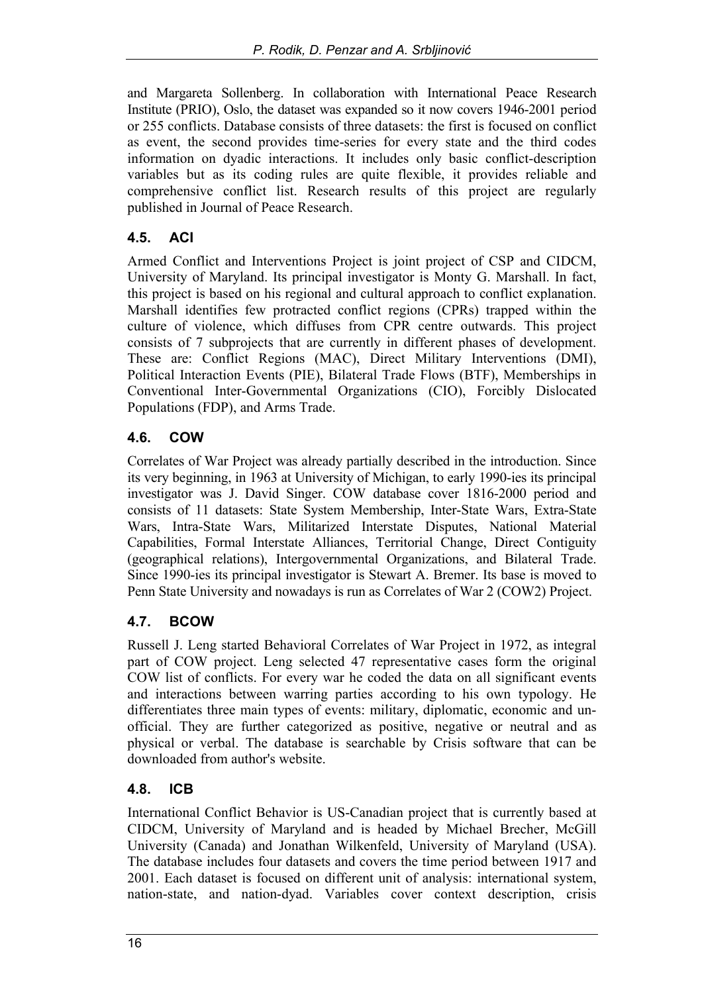and Margareta Sollenberg. In collaboration with International Peace Research Institute (PRIO), Oslo, the dataset was expanded so it now covers 1946-2001 period or 255 conflicts. Database consists of three datasets: the first is focused on conflict as event, the second provides time-series for every state and the third codes information on dyadic interactions. It includes only basic conflict-description variables but as its coding rules are quite flexible, it provides reliable and comprehensive conflict list. Research results of this project are regularly published in Journal of Peace Research.

#### **4.5. ACI**

Armed Conflict and Interventions Project is joint project of CSP and CIDCM, University of Maryland. Its principal investigator is Monty G. Marshall. In fact, this project is based on his regional and cultural approach to conflict explanation. Marshall identifies few protracted conflict regions (CPRs) trapped within the culture of violence, which diffuses from CPR centre outwards. This project consists of 7 subprojects that are currently in different phases of development. These are: Conflict Regions (MAC), Direct Military Interventions (DMI), Political Interaction Events (PIE), Bilateral Trade Flows (BTF), Memberships in Conventional Inter-Governmental Organizations (CIO), Forcibly Dislocated Populations (FDP), and Arms Trade.

#### **4.6. COW**

Correlates of War Project was already partially described in the introduction. Since its very beginning, in 1963 at University of Michigan, to early 1990-ies its principal investigator was J. David Singer. COW database cover 1816-2000 period and consists of 11 datasets: State System Membership, Inter-State Wars, Extra-State Wars, Intra-State Wars, Militarized Interstate Disputes, National Material Capabilities, Formal Interstate Alliances, Territorial Change, Direct Contiguity (geographical relations), Intergovernmental Organizations, and Bilateral Trade. Since 1990-ies its principal investigator is Stewart A. Bremer. Its base is moved to Penn State University and nowadays is run as Correlates of War 2 (COW2) Project.

#### **4.7. BCOW**

Russell J. Leng started Behavioral Correlates of War Project in 1972, as integral part of COW project. Leng selected 47 representative cases form the original COW list of conflicts. For every war he coded the data on all significant events and interactions between warring parties according to his own typology. He differentiates three main types of events: military, diplomatic, economic and unofficial. They are further categorized as positive, negative or neutral and as physical or verbal. The database is searchable by Crisis software that can be downloaded from author's website.

#### **4.8. ICB**

International Conflict Behavior is US-Canadian project that is currently based at CIDCM, University of Maryland and is headed by Michael Brecher, McGill University (Canada) and Jonathan Wilkenfeld, University of Maryland (USA). The database includes four datasets and covers the time period between 1917 and 2001. Each dataset is focused on different unit of analysis: international system, nation-state, and nation-dyad. Variables cover context description, crisis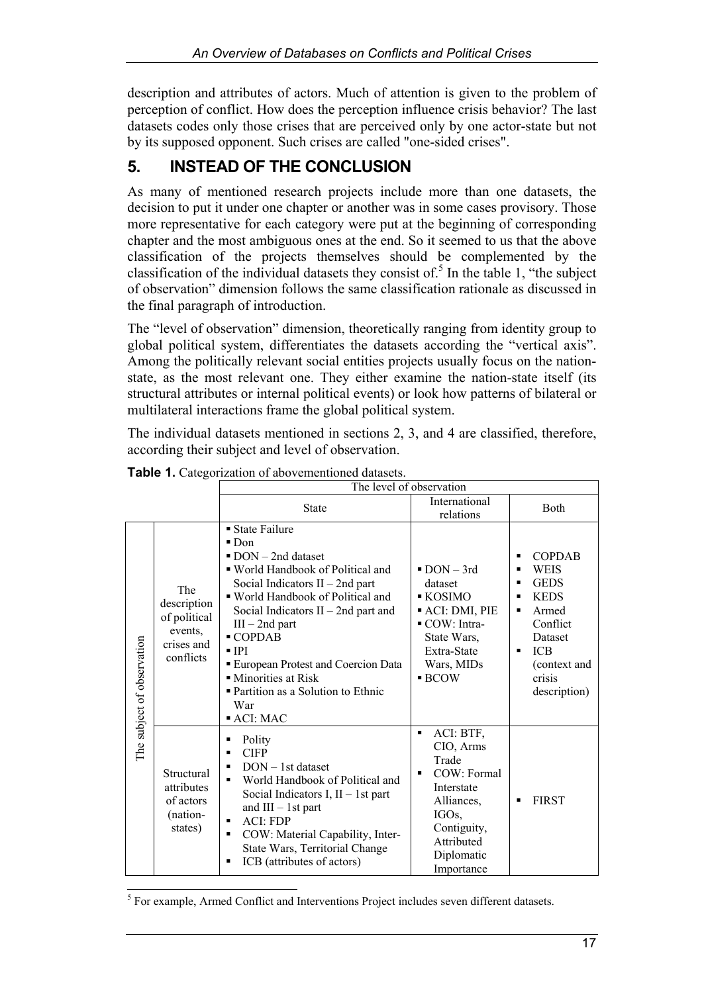description and attributes of actors. Much of attention is given to the problem of perception of conflict. How does the perception influence crisis behavior? The last datasets codes only those crises that are perceived only by one actor-state but not by its supposed opponent. Such crises are called "one-sided crises".

## **5. INSTEAD OF THE CONCLUSION**

As many of mentioned research projects include more than one datasets, the decision to put it under one chapter or another was in some cases provisory. Those more representative for each category were put at the beginning of corresponding chapter and the most ambiguous ones at the end. So it seemed to us that the above classification of the projects themselves should be complemented by the classification of the individual datasets they consist of.<sup>5</sup> In the table 1, "the subject of observation" dimension follows the same classification rationale as discussed in the final paragraph of introduction.

The "level of observation" dimension, theoretically ranging from identity group to global political system, differentiates the datasets according the "vertical axis". Among the politically relevant social entities projects usually focus on the nationstate, as the most relevant one. They either examine the nation-state itself (its structural attributes or internal political events) or look how patterns of bilateral or multilateral interactions frame the global political system.

The individual datasets mentioned in sections 2, 3, and 4 are classified, therefore, according their subject and level of observation.

|                            |                                                                          | The level of observation                                                                                                                                                                                                                                                                                                                                                                                                       |                                                                                                                                                                       |                                                                                                                                                                   |
|----------------------------|--------------------------------------------------------------------------|--------------------------------------------------------------------------------------------------------------------------------------------------------------------------------------------------------------------------------------------------------------------------------------------------------------------------------------------------------------------------------------------------------------------------------|-----------------------------------------------------------------------------------------------------------------------------------------------------------------------|-------------------------------------------------------------------------------------------------------------------------------------------------------------------|
|                            |                                                                          | <b>State</b>                                                                                                                                                                                                                                                                                                                                                                                                                   | International<br>relations                                                                                                                                            | <b>B</b> oth                                                                                                                                                      |
| The subject of observation | The<br>description<br>of political<br>events,<br>crises and<br>conflicts | ■ State Failure<br>$\blacksquare$ Don<br>$\blacksquare$ DON - 2nd dataset<br>■ World Handbook of Political and<br>Social Indicators $II - 2nd$ part<br>" World Handbook of Political and<br>Social Indicators $II - 2nd$ part and<br>$III - 2nd$ part<br>■ COPDAB<br>$\blacksquare$ IPI<br>European Protest and Coercion Data<br>• Minorities at Risk<br>■ Partition as a Solution to Ethnic<br>War<br>$\blacksquare$ ACI: MAC | $\blacksquare$ DON $-$ 3rd<br>dataset<br>$\blacksquare$ KOSIMO<br>• ACI: DMI, PIE<br>COW: Intra-<br>State Wars,<br>Extra-State<br>Wars, MIDs<br>$\blacksquare$ BCOW   | <b>COPDAB</b><br><b>WEIS</b><br>٠<br><b>GEDS</b><br><b>KEDS</b><br>٠<br>Armed<br>п<br>Conflict<br>Dataset<br><b>ICB</b><br>(context and<br>crisis<br>description) |
|                            | Structural<br>attributes<br>of actors<br>(nation-<br>states)             | Polity<br>٠<br><b>CIFP</b><br>$DOM - 1st dataset$<br>$\blacksquare$<br>World Handbook of Political and<br>п<br>Social Indicators I, $II - 1st$ part<br>and $III - 1st$ part<br>ACI: FDP<br>٠<br>COW: Material Capability, Inter-<br>٠<br>State Wars, Territorial Change<br>ICB (attributes of actors)<br>п                                                                                                                     | ACI: BTF,<br>$\blacksquare$<br>CIO, Arms<br>Trade<br>$COW:$ Formal<br>п<br>Interstate<br>Alliances,<br>IGOs,<br>Contiguity,<br>Attributed<br>Diplomatic<br>Importance | <b>FIRST</b>                                                                                                                                                      |

**Table 1.** Categorization of abovementioned datasets.

<sup>5</sup> For example, Armed Conflict and Interventions Project includes seven different datasets.

 $\overline{\phantom{a}}$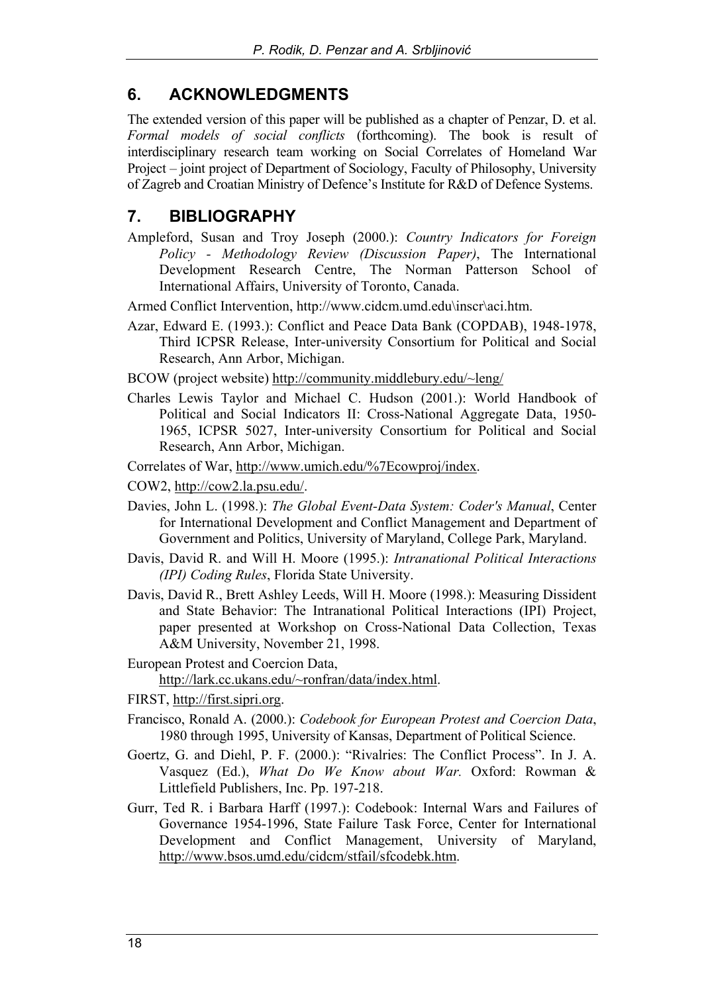## **6. ACKNOWLEDGMENTS**

The extended version of this paper will be published as a chapter of Penzar, D. et al. *Formal models of social conflicts* (forthcoming). The book is result of interdisciplinary research team working on Social Correlates of Homeland War Project – joint project of Department of Sociology, Faculty of Philosophy, University of Zagreb and Croatian Ministry of Defence's Institute for R&D of Defence Systems.

## **7. BIBLIOGRAPHY**

Ampleford, Susan and Troy Joseph (2000.): *Country Indicators for Foreign Policy - Methodology Review (Discussion Paper)*, The International Development Research Centre, The Norman Patterson School of International Affairs, University of Toronto, Canada.

Armed Conflict Intervention, [http://www.cidcm.umd.edu\inscr\aci.htm.](http://www.cidcm.umd.edu\inscr\aci.htm) 

Azar, Edward E. (1993.): Conflict and Peace Data Bank (COPDAB), 1948-1978, Third ICPSR Release, Inter-university Consortium for Political and Social Research, Ann Arbor, Michigan.

BCOW (project website) <http://community.middlebury.edu/~leng/>

Charles Lewis Taylor and Michael C. Hudson (2001.): World Handbook of Political and Social Indicators II: Cross-National Aggregate Data, 1950- 1965, ICPSR 5027, Inter-university Consortium for Political and Social Research, Ann Arbor, Michigan.

Correlates of War, [http://www.umich.edu/%7Ecowproj/index.](http://www.umich.edu/%7Ecowproj/index) 

COW2, [http://cow2.la.psu.edu/.](http://cow2.la.psu.edu/) 

- Davies, John L. (1998.): *The Global Event-Data System: Coder's Manual*, Center for International Development and Conflict Management and Department of Government and Politics, University of Maryland, College Park, Maryland.
- Davis, David R. and Will H. Moore (1995.): *Intranational Political Interactions (IPI) Coding Rules*, Florida State University.
- Davis, David R., Brett Ashley Leeds, Will H. Moore (1998.): Measuring Dissident and State Behavior: The Intranational Political Interactions (IPI) Project, paper presented at Workshop on Cross-National Data Collection, Texas A&M University, November 21, 1998.
- European Protest and Coercion Data, [http://lark.cc.ukans.edu/~ronfran/data/index.html.](http://lark.cc.ukans.edu/~ronfran/data/index.html)
- FIRST, [http://first.sipri.org.](http://first.sipri.org)
- Francisco, Ronald A. (2000.): *Codebook for European Protest and Coercion Data*, 1980 through 1995, University of Kansas, Department of Political Science.
- Goertz, G. and Diehl, P. F. (2000.): "Rivalries: The Conflict Process". In J. A. Vasquez (Ed.), *What Do We Know about War.* Oxford: Rowman & Littlefield Publishers, Inc. Pp. 197-218.
- Gurr, Ted R. i Barbara Harff (1997.): Codebook: Internal Wars and Failures of Governance 1954-1996, State Failure Task Force, Center for International Development and Conflict Management, University of Maryland, [http://www.bsos.umd.edu/cidcm/stfail/sfcodebk.htm.](http://www.bsos.umd.edu/cidcm/stfail/sfcodebk.htm)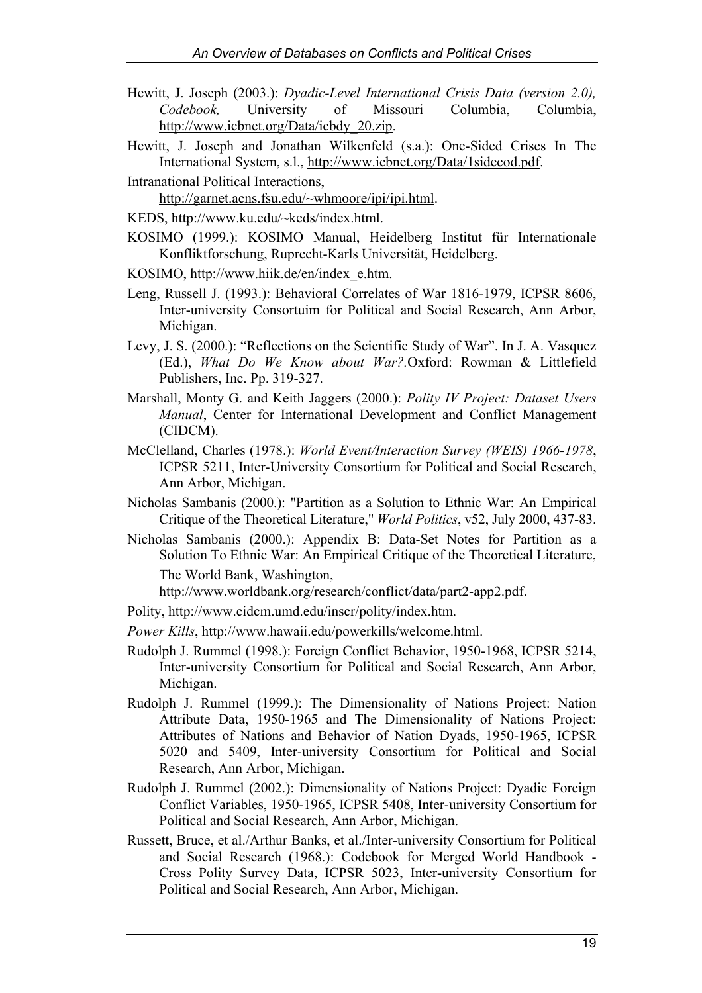- Hewitt, J. Joseph (2003.): *Dyadic-Level International Crisis Data (version 2.0), Codebook,* University of Missouri Columbia, Columbia, [http://www.icbnet.org/Data/icbdy\\_20.zip.](http://www.icbnet.org/Data/icbdy_20.zip)
- Hewitt, J. Joseph and Jonathan Wilkenfeld (s.a.): One-Sided Crises In The International System, s.l., [http://www.icbnet.org/Data/1sidecod.pdf.](http://www.icbnet.org/Data/1sidecod.pdf)
- Intranational Political Interactions, [http://garnet.acns.fsu.edu/~whmoore/ipi/ipi.html.](http://garnet.acns.fsu.edu/~whmoore/ipi/ipi.html)
- KEDS, [http://www.ku.edu/~keds/index.html.](http://www.ku.edu/~keds/index.html)
- KOSIMO (1999.): KOSIMO Manual, Heidelberg Institut für Internationale Konfliktforschung, Ruprecht-Karls Universität, Heidelberg.
- KOSIMO, [http://www.hiik.de/en/index\\_e.htm.](http://www.hiik.de/en/index_e.htm)
- Leng, Russell J. (1993.): Behavioral Correlates of War 1816-1979, ICPSR 8606, Inter-university Consortuim for Political and Social Research, Ann Arbor, Michigan.
- Levy, J. S. (2000.): "Reflections on the Scientific Study of War". In J. A. Vasquez (Ed.), *What Do We Know about War?.*Oxford: Rowman & Littlefield Publishers, Inc. Pp. 319-327.
- Marshall, Monty G. and Keith Jaggers (2000.): *Polity IV Project: Dataset Users Manual*, Center for International Development and Conflict Management (CIDCM).
- McClelland, Charles (1978.): *World Event/Interaction Survey (WEIS) 1966-1978*, ICPSR 5211, Inter-University Consortium for Political and Social Research, Ann Arbor, Michigan.
- Nicholas Sambanis (2000.): "Partition as a Solution to Ethnic War: An Empirical Critique of the Theoretical Literature," *World Politics*, v52, July 2000, 437-83.
- Nicholas Sambanis (2000.): Appendix B: Data-Set Notes for Partition as a Solution To Ethnic War: An Empirical Critique of the Theoretical Literature, The World Bank, Washington,

[http://www.worldbank.org/research/conflict/data/part2-app2.pdf.](http://www.worldbank.org/research/conflict/data/part2-app2.pdf) 

Polity, [http://www.cidcm.umd.edu/inscr/polity/index.htm.](http://www.cidcm.umd.edu/inscr/polity/index.htm) 

*Power Kills*, [http://www.hawaii.edu/powerkills/welcome.html.](http://www.hawaii.edu/powerkills/welcome.html) 

- Rudolph J. Rummel (1998.): Foreign Conflict Behavior, 1950-1968, ICPSR 5214, Inter-university Consortium for Political and Social Research, Ann Arbor, Michigan.
- Rudolph J. Rummel (1999.): The Dimensionality of Nations Project: Nation Attribute Data, 1950-1965 and The Dimensionality of Nations Project: Attributes of Nations and Behavior of Nation Dyads, 1950-1965, ICPSR 5020 and 5409, Inter-university Consortium for Political and Social Research, Ann Arbor, Michigan.
- Rudolph J. Rummel (2002.): Dimensionality of Nations Project: Dyadic Foreign Conflict Variables, 1950-1965, ICPSR 5408, Inter-university Consortium for Political and Social Research, Ann Arbor, Michigan.
- Russett, Bruce, et al./Arthur Banks, et al./Inter-university Consortium for Political and Social Research (1968.): Codebook for Merged World Handbook - Cross Polity Survey Data, ICPSR 5023, Inter-university Consortium for Political and Social Research, Ann Arbor, Michigan.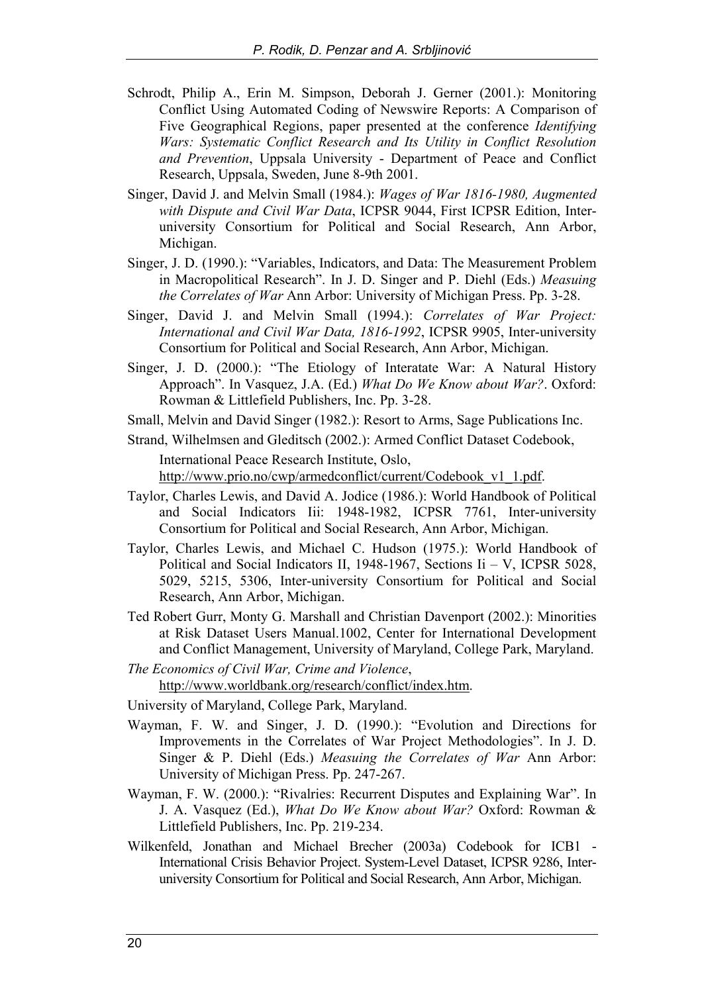- Schrodt, Philip A., Erin M. Simpson, Deborah J. Gerner (2001.): Monitoring Conflict Using Automated Coding of Newswire Reports: A Comparison of Five Geographical Regions, paper presented at the conference *Identifying Wars: Systematic Conflict Research and Its Utility in Conflict Resolution and Prevention*, Uppsala University - Department of Peace and Conflict Research, Uppsala, Sweden, June 8-9th 2001.
- Singer, David J. and Melvin Small (1984.): *Wages of War 1816-1980, Augmented with Dispute and Civil War Data*, ICPSR 9044, First ICPSR Edition, Interuniversity Consortium for Political and Social Research, Ann Arbor, Michigan.
- Singer, J. D. (1990.): "Variables, Indicators, and Data: The Measurement Problem in Macropolitical Research". In J. D. Singer and P. Diehl (Eds.) *Measuing the Correlates of War* Ann Arbor: University of Michigan Press. Pp. 3-28.
- Singer, David J. and Melvin Small (1994.): *Correlates of War Project: International and Civil War Data, 1816-1992*, ICPSR 9905, Inter-university Consortium for Political and Social Research, Ann Arbor, Michigan.
- Singer, J. D. (2000.): "The Etiology of Interatate War: A Natural History Approach". In Vasquez, J.A. (Ed.) *What Do We Know about War?*. Oxford: Rowman & Littlefield Publishers, Inc. Pp. 3-28.
- Small, Melvin and David Singer (1982.): Resort to Arms, Sage Publications Inc.

Strand, Wilhelmsen and Gleditsch (2002.): Armed Conflict Dataset Codebook, International Peace Research Institute, Oslo, [http://www.prio.no/cwp/armedconflict/current/Codebook\\_v1\\_1.pdf.](http://www.prio.no/cwp/armedconflict/current/Codebook_v1_1.pdf)

- Taylor, Charles Lewis, and David A. Jodice (1986.): World Handbook of Political and Social Indicators Iii: 1948-1982, ICPSR 7761, Inter-university Consortium for Political and Social Research, Ann Arbor, Michigan.
- Taylor, Charles Lewis, and Michael C. Hudson (1975.): World Handbook of Political and Social Indicators II, 1948-1967, Sections Ii – V, ICPSR 5028, 5029, 5215, 5306, Inter-university Consortium for Political and Social Research, Ann Arbor, Michigan.
- Ted Robert Gurr, Monty G. Marshall and Christian Davenport (2002.): Minorities at Risk Dataset Users Manual.1002, Center for International Development and Conflict Management, University of Maryland, College Park, Maryland.
- *The Economics of Civil War, Crime and Violence*, [http://www.worldbank.org/research/conflict/index.htm.](http://www.worldbank.org/research/conflict/index.htm)
- University of Maryland, College Park, Maryland.
- Wayman, F. W. and Singer, J. D. (1990.): "Evolution and Directions for Improvements in the Correlates of War Project Methodologies". In J. D. Singer & P. Diehl (Eds.) *Measuing the Correlates of War* Ann Arbor: University of Michigan Press. Pp. 247-267.
- Wayman, F. W. (2000.): "Rivalries: Recurrent Disputes and Explaining War". In J. A. Vasquez (Ed.), *What Do We Know about War?* Oxford: Rowman & Littlefield Publishers, Inc. Pp. 219-234.
- Wilkenfeld, Jonathan and Michael Brecher (2003a) Codebook for ICB1 International Crisis Behavior Project. System-Level Dataset, ICPSR 9286, Interuniversity Consortium for Political and Social Research, Ann Arbor, Michigan.